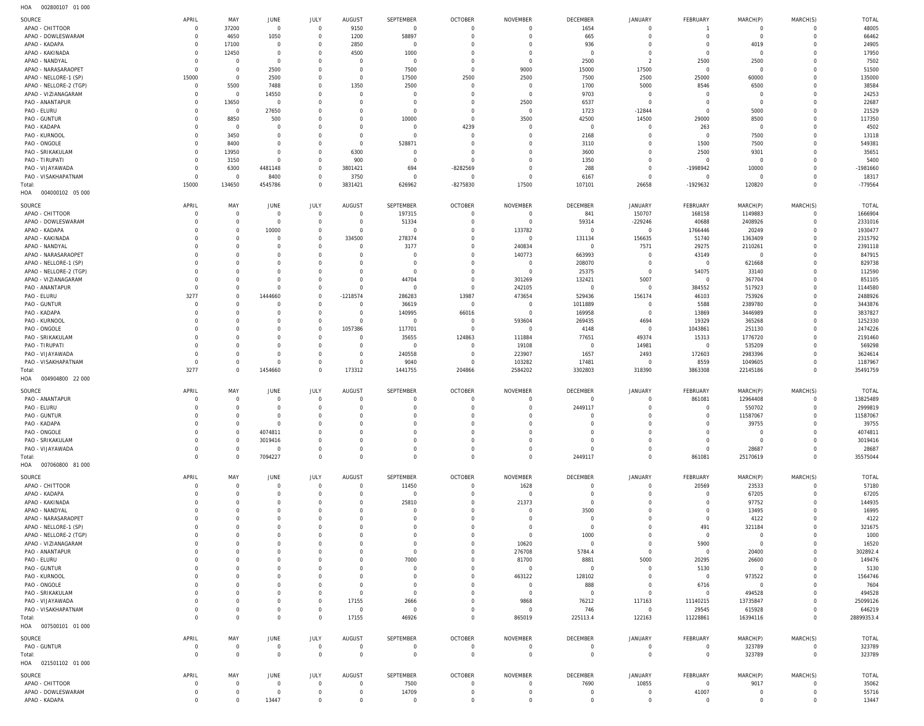SOURCE APRIL SEPTEMBER OCTOBER NOVEMBER DECEMBER JANUARY FEBRUARY MARCH(P) MARCH(S) TOTAL MAY JUNE JULY AUGUST APAO - CHITTOOR  $\overline{0}$ 37200  $\overline{0}$ 9150  $\overline{0}$  $\overline{0}$ 1654  $\overline{0}$  $0$  $\Omega$ 48005 000000  $\Omega$ 00000000000000000000000000000000000000000000000000000000000000000  $\Omega$ 000000 0<br>0<br>0<br>0<br>0 000002 1<br>0<br>0<br>0 00000000000000000000000000000000000000000000000000000000000000000 APAO - DOWLESWARAM  $\mathbf 0$ 4650  $\begin{bmatrix} 1050 & 0 \\ 0 & 0 \\ 0 & 0 \end{bmatrix}$ 1200 58897<br>0  $\overline{0}$ 665 66462  $\mathbf 0$  $\mathbf 0$  $\overline{0}$  $\overline{0}$  $\mathbf 0$ 2850 936<br>0 APAO - KADAPA  $\Omega$ 17100  $\Omega$  $\Omega$  $\Omega$  $\Omega$  $\Omega$  $\begin{array}{c}\n4019 \\
0\n\end{array}$  $\Omega$ 24905 APAO - KAKINADA  $\mathbf 0$  $12450$ <br>0<br>0<br>0  $\mathbf 0$  $4500$ <br>0<br>0<br>0 1000<br>0  $\overline{0}$  $\mathbf 0$  $\overline{0}$  $\overline{0}$  $\mathbf 0$ 17950 APAO - NANDYAL 2500  $^{2500}$  $2500$ 7502  $\overline{0}$  $\Omega$  $\overline{0}$  $\Omega$  $\overline{0}$ APAO - NARASARAOPET  $\Omega$ 2500 7500  $\Omega$ 9000 15000 17500  $\Omega$ 51500  $\cap$ APAO - NELLORE-1 (SP) 15000 2500 17500  $\begin{array}{c} 2500 \\ 0 \\ 0 \\ 0 \\ 0 \\ 0 \\ 0 \end{array}$  $\begin{array}{c}\n2500 \\
0 \\
0\n\end{array}$ 7500 2500 25000 60000  $\mathsf{O}\xspace$ 135000  $\mathbf 0$ 150000000000000000000000000 APAO - NELLORE-2 (TGP)  $\Omega$ 5500<br>0 7488  $\Omega$ 1350  $\begin{array}{c}\n2500 \\
0 \\
0 \\
0\n\end{array}$ 1700  $\begin{array}{c} 5000 \\ 0 \\ 0 \end{array}$ 8546<br>0<br>0<br>0  $0$   $0$  $\Omega$ 38584 1350<br>0<br>0<br>0<br>0<br>0<br>0<br>0 APAO - VIZIANAGARAM  $\mathbf{0}$ 14550<br>0  $\overline{0}$ 9703  $\mathbf{0}$ 24253 PAO - ANANTAPUR 13650<br>0  $2500$ 6537  $\mathbf 0$ 22687  $\overline{0}$  $\Omega$  $\overline{0}$ PAO - ELURU  $\mathbf 0$ 27650 1723 -12844 5000  $\mathbf{0}$ 21529  $\cap$  $\overline{0}$ PAO - GUNTUR 8850<br>0 500  $\begin{array}{c} 10000 \\ 0 \\ 0 \end{array}$ 3500  $42500$ 29000  $\begin{matrix}\n 8500 \\
 0\n \end{matrix}$  $\mathbf{0}$ 117350  $\mathbf 0$  $\overline{0}$ 500<br>0<br>0<br>0<br>0<br>0 3500<br>00<br>00<br>00<br>00<br>00<br>7500<br>13ER<br>00  $14500$ <br>  $0$ <br>  $0$ <br>  $0$ <br>  $0$ <br>  $0$ <br>  $0$ PAO - KADAPA  $\Omega$  $\Omega$  $\Omega$  $\Omega$  $4239$ <br>0<br>0<br>0<br>0<br>0  $\Omega$  $\begin{array}{c} 263 \\ 0 \end{array}$  $\Omega$ 4502 PAO - KURNOOL 3450 7500 13118  $\mathbf{0}$  $\overline{0}$  $\overline{0}$  $\overline{0}$ 2168  $\mathbf 0$ PAO - ONGOLE  $\mathbf 0$ 8400  $\overline{0}$  $\mathbf 0$  $\overline{0}$ 528871<br>0<br>0  $\overline{0}$ 3110 1500 7500  $\mathbf 0$ 549381 PAO - SRIKAKULAM  $\mathsf{O}\xspace$ 13950 6300 3600  $\begin{array}{c}\n2500 \\
0\n\end{array}$ 9301<br>0  $\mathbf 0$ 35651  $\overline{0}$  $\Omega$  $\overline{0}$ PAO - TIRUPATI  $\mathbf{0}$ 3150  $\Omega$ 900 1350  $\mathsf{O}$ 5400  $\Omega$  $\Omega$ PAO - VIJAYAWADA  $\mathbf 0$ 6300 4481148  $\Omega$ 3801421 694<br>0  $-8282569$ 288 -1998942<br>0  $\begin{array}{c}\n10000 \\
0\n\end{array}$  $\mathbf 0$ -1981660 630000000000000000000000000000000000000000000000000 -828256900000000000  $\Omega$ PAO - VISAKHAPATNAM  $\mathbf 0$  $\overline{0}$  $\mathbf 0$  $\mathsf{C}$ 6167  $\mathbf 0$ 18317 8400<br>5786<br>JUNE<br>0<br>0 3750<br>1421<br>3UST<br>0<br>0<br>0 Total: 15000 134650 4545786  $\Omega$ 3831421 626962 -8275830 17500 107101 26658 -1929632 120820  $\Omega$ -779564 1346500000 00000 00000 HOA 004000102 05 000 SOURCE APRIL MAY JULY SEPTEMBER OCTOBER NOVEMBER DECEMBER JANUARY FEBRUARY MARCH(P) MARCH(S) TOTAL JUNE AUGUST APAO - CHITTOOR  $\overline{0}$  $\overline{0}$  $\overline{0}$ 197315  $\overline{0}$  $\overline{0}$ 841 150707 168158 1149883  $\overline{0}$ 1666904 APAO - DOWLESWARAM  $\mathbf 0$ 51334<br>0  $\overline{0}$  $59314$ <sup>0</sup>  $-229246$ 40688 2408926  $\mathbf{0}$ 2331016  $\overline{0}$  $\mathbf 0$  $\Omega$ APAO - KADAPA 133782<br>0 1766446 20249 1930477  $\mathbf 0$  $\Omega$  $\overline{0}$  $\mathbf 0$ 10000<br>0<br>0<br>0<br>0<br>0<br>0  $\Omega$ APAO - KAKINADA  $\Omega$  $\Omega$  $\Omega$ 278374  $\Omega$ 1311340 156635 51740 1363409  $\Omega$ 2315792 334500<br>0<br>0<br>0<br>0<br>0<br>0 APAO - NANDYAL 240834 29275 2391118  $\mathbf{0}$  $\overline{0}$  $\overline{0}$  $3177$ <br>0<br>0<br>0  $\overline{0}$ 7571<br>0<br>0<br>0 2110261<br>0  $\mathbf{0}$ APAO - NARASARAOPET 140773<br>0 663993 847915  $\mathbf 0$  $\Omega$  $\mathbf 0$  $\overline{0}$ 43149<br>0  $\mathbf 0$ APAO - NELLORE-1 (SP) 208070 621668  $\mathbf{0}$ 829738  $\overline{0}$  $\cap$  $\Omega$ APAO - NELLORE-2 (TGP)  $\overline{0}$ 25375  $54075$ 33140  $\mathbf{0}$ 112590  $\mathbf 0$  $\Omega$  $\Omega$ APAO - VIZIANAGARAM  $\mathbf 0$  $\overline{0}$  $\Omega$ 44704<br>0  $\overline{0}$ 301269 1324210 5007<br>0 367704  $\mathbf 0$ 851105 PAO - ANANTAPUR  $\overline{0}$  $\overline{0}$  $\mathbf{0}$ 242105 384552 517923  $\mathbf{0}$ 1144580 3277 13987<br>0 PAO - ELURU 327700000000000000000000000000000000000  $\Omega$ 1444660 1444660000000000000  $\Omega$ 1218574<br>0<br>0 286283 473654<br>0<br>0 529436 156174<br>0<br>0 46103 753926  $\Omega$ 2488926 PAO - GUNTUR 36619 1011889 5588 2389780 3443876  $\mathsf 0$  $\mathbf 0$  $\mathbf 0$  $\mathbf 0$  $\mathsf 0$ PAO - KADAPA  $140995$ <sup>0</sup>  $\begin{array}{c} 66016 \\0 \\0 \end{array}$ 169958 13869 3446989 3837827  $\mathbf 0$  $\overline{0}$  $\Omega$  $\Omega$  $\Omega$ PAO - KURNOOL  $\Omega$  $\Omega$  $\Omega$  $\Omega$ 593604<br>0 269435 4694<br>0 19329 365268  $\Omega$ 1252330 PAO - ONGOLE  $\mathbf 0$  $\overline{0}$  $\overline{0}$  $\mathbf 0$ 1057386 117701 4148 1043861 251130  $\mathsf{O}\xspace$ 2474226 10573860000000000000000000000000 111884 PAO - SRIKAKULAM  $\Omega$  $\Omega$  $\Omega$  $\Omega$  $\Omega$ 35655<br>0 124863 124863000000000000000000000000000000 77651<br>0 49374 15313<br>0 1776720  $\Omega$ 2191460 PAO - TIRUPATI  $\mathbf 0$  $\overline{0}$  $\overline{0}$  $\overline{0}$  $\overline{0}$  $\overline{0}$ 19108 14981 535209  $\mathbf{0}$ 569298 PAO - VIJAYAWADA 223907 1657 172603 2983396  $\mathbf{0}$ 3624614  $\mathbf 0$  $\overline{0}$  $\mathbf 0$ 240558  $\overline{0}$ 2493  $\overline{0}$  $\overline{0}$ 249300000000000000000 PAO - VISAKHAPATNAM  $\Omega$  $\overline{0}$  $\Omega$  $\Omega$  $\Omega$ 9040  $\Omega$ 103282  $\cap$ 8559 1049605  $\mathbf{0}$ 1187967 9040<br>1755<br>MBER 0<br>0<br>0<br>0<br>0<br>0<br>0 1032820000000 17481<br>02803<br>MBER:<br>0 Total: 3277  $\overline{0}$ 1454660  $\mathbf 0$ 173312 204866 318390 3863308 22145186  $\mathbf{0}$ 35491759 3277000 173312<br>|<br>|UGUST 0<br>|<br>| 0<br>|<br>| 0<br>|<br>| 0<br>| 0<br>| 1441755<br>TEMBER<br>0<br>0<br>0<br>0<br>0<br>0<br>0<br>0 204866<br>
2006<br>
2006<br>
2006<br>
2006<br>
2006<br>
2006<br>
2006<br>
2006<br>
2006<br>
2006<br>
2006<br>
2006<br>
2006<br>
2006 2584202<br>VEMBER<br>0<br>0<br>0<br>0<br>0<br>0<br>0<br>0<br>0 3302803 3183900 HOA 004904800 22 000 SOURCE APRIL MAY JUNE JULY AUGUST SEPTEMBER OCTOBER NOVEMBER DECEMBER JANUARY FEBRUARY MARCH(P) MARCH(S) TOTAL PAO - ANANTAPUR  $\overline{0}$ 861081<br>0<br>0<br>0<br>0<br>0<br>0 12964408 13825489  $\overline{0}$  $\overline{0}$  $\mathsf{C}$  $\overline{0}$  $\overline{0}$  $\overline{0}$  $\mathsf 0$ PAO - ELURU  $\Omega$  $\Omega$  $\Omega$  $\Omega$  $\Omega$  $\Omega$  $\Omega$ 550702  $\Omega$ 2999819 2449117<br>00<br>00<br>00<br>2449117<br>CEMBER<br>00<br>00 PAO - GUNTUR  $\overline{0}$ 11587067  $\mathsf{O}\xspace$ 11587067  $\mathbf 0$  $\overline{0}$  $\overline{0}$  $\mathbf 0$  $\overline{0}$  $\overline{0}$ PAO - KADAPA  $\overline{0}$ 39755<br>0<br>0  $\mathbf 0$ 39755  $\overline{0}$  $\overline{0}$  $\Omega$  $\overline{0}$  $\overline{0}$  $\overline{0}$ PAO - ONGOLE  $\mathbf{0}$  $\overline{0}$ 4074811  $\Omega$  $\Omega$  $\Omega$  $\Omega$  $\Omega$ 4074811 PAO - SRIKAKULAM  $\mathsf{O}\xspace$  $\mathbb O$ 3019416  $\overline{0}$  $\overline{0}$  $\mathsf{O}$  $\mathsf{O}\xspace$ 3019416 301941600000000000000000000  $\mathbf 0$ PAO - VIJAYAWADA  $\Omega$  $\overline{0}$  $\Omega$  $\Omega$  $\Omega$  $\Omega$  $\Omega$ 28687  $\Omega$ 28687 Total:  $\overline{0}$  $\overline{0}$ 7094227  $\Omega$  $\Omega$  $\overline{0}$ 2449117  $\overline{0}$ 861081 25170619  $\mathbf{0}$ 35575044 709422700 HOA 007060800 81 000 **SOURCE** APRIL MAY JULY AUGUST **SEPTEMBER** OCTOBER NOVEMBER DECEMBER **JANUARY FEBRUARY** MARCH(P) MARCH(S) TOTAL **JUNE** APAO - CHITTOOR  $\boldsymbol{0}$  $\overline{0}$  $\boldsymbol{0}$  $\mathbf 0$  $\mathbf 0$  $11450$ <br>0  $\mathbf 0$  $1628$ <sup>0</sup>  $\overline{0}$ 20569<br>0<br>0<br>0<br>0 23533  $\mathbf 0$ 57180 APAO - KADAPA  $\mathbf 0$  $\overline{0}$  $\overline{0}$  $\overline{0}$  $\overline{0}$  $\overline{0}$ 67205  $\mathbf 0$ 67205  $\overline{0}$ APAO - KAKINADA  $\Omega$  $\Omega$  $\Omega$  $\Omega$  $\overline{0}$ 21373<br>0<br>0<br>0<br>0  $\overline{0}$ 97752  $\mathbf{0}$ 144935  $\Omega$ 25810<br>0<br>0<br>0<br>0<br>0<br>0 APAO - NANDYAL  $\overline{0}$  $\begin{array}{c} 3500 \\ 0 \\ 0 \end{array}$ 13495 16995  $\mathbf 0$  $\overline{0}$  $\overline{0}$  $\overline{0}$  $\overline{0}$  $\overline{0}$  $\mathbf 0$ APAO - NARASARAOPET  $\Omega$  $\Omega$  $\Omega$  $\Omega$  $\Omega$  $\Omega$  $\Omega$ 4122  $\Omega$ 4122 APAO - NELLORE-1 (SP)  $\mathbf{0}$  $\overline{0}$  $\overline{0}$  $\mathbf 0$  $\overline{0}$  $\overline{0}$  $\overline{0}$ 491<br>0  $321184$ <sup>0</sup>  $\mathbf{0}$ 321675 APAO - NELLORE-2 (TGP)  $1000$ 1000  $\overline{0}$  $\overline{0}$  $\mathbf 0$  $\overline{0}$  $\mathbf 0$  $\Omega$  $\Omega$  $\Omega$ APAO - VIZIANAGARAM  $\Omega$ 10620 5900<br>0  $\Omega$ 16520  $\Omega$  $\cap$  $\cap$  $\overline{0}$  $\Omega$  $\Omega$ PAO - ANANTAPUR  $\overline{0}$ 276708 5784.4 20400  $\mathsf{O}\xspace$ 302892.4  $\mathbf 0$  $\overline{0}$  $\overline{0}$  $\mathbf 0$  $\overline{0}$  $\overline{0}$ PAO - ELURU  $\Omega$  $\Omega$  $\Omega$ 7000<br>0<br>0<br>0<br>0  $\Omega$ 817000 8881<br>0 50000000 20295 26600  $\mathbf 0$ 149476  $\Omega$  $\Omega$ PAO - GUNTUR  $\overline{0}$  $\overline{0}$  $\mathbf{0}$ 5130<br>0  $\overline{0}$ 5130 PAO - KURNOOL  $\overline{0}$ 463122<br>0<br>0 128102 973522<br>0  $\mathbf 0$ 1564746  $\overline{0}$  $\overline{0}$  $\overline{0}$  $\Omega$  $\overline{0}$ PAO - ONGOLE 888<br>0  $\begin{array}{c} 6716 \\ 0 \end{array}$  $\mathbf 0$ 7604  $\mathbf 0$  $\overline{0}$  $\overline{0}$  $\cap$  $\Omega$  $\mathbf 0$ PAO - SRIKAKULAM 494528  $\mathbf 0$ 494528  $\mathbf 0$  $\Omega$  $\overline{0}$  $\Omega$  $\Omega$ PAO - VIJAYAWADA  $\Omega$  $\Omega$  $\Omega$  $\Omega$ 17155  $\Omega$ 9868 76212 11140215 13735847  $\Omega$ 25099126 1715500000 2666<br>0<br>6926<br>MBER<br>0 9868<br>0<br>5019<br>MBER 0<br>0<br>0<br>0<br>0<br>0 117163<br>0<br>122163<br>NUARY<br>0 29545 PAO - VISAKHAPATNAM  $\mathbf{0}$  $\mathsf 0$  $\mathbf 0$  $\mathbf 0$  $\overline{0}$  $\mathsf{O}$  $\overline{0}$ 615928  $\mathsf{O}$ 646219 746<br>|3.4<br>BER<br>|0 2954500 Total:  $\mathbf 0$  $\overline{0}$  $\overline{0}$  $\overline{0}$  $\overline{0}$ 16394116  $\mathbf 0$ 28899353.4 17155<br>JGUST<br>0<br>0 46926<br>MBER:<br>0<br>0 865019<br>EMBER<br>0<br>0 225113.4<br>ECEMBER<br>0<br>0 122163<br>31<br>0<br>0 11228861<br>EBRUARY<br>0<br>0 HOA 007500101 01 000 SOURCE APRIL MAY JUNE JULY OCTOBER MARCH(P) MARCH(S) TOTAL AUGUST SEPTEMBER NOVEMBER DECEMBER JANUARY FEBRUARY 323789 323789 PAO - GUNTUR  $\overline{0}$  $\overline{0}$  $\overline{0}$  $\overline{0}$  $\overline{0}$  $\overline{0}$ Total: $\mathbf 0$  $\overline{0}$  $\mathbf 0$  $\Omega$  $\mathbf 0$ 323789  $\mathsf{O}$ 323789 HOA 021501102 01 000 SOURCE APRIL MAY JUNE JULY AUGUST SEPTEMBER OCTOBER NOVEMBER DECEMBER JANUARY FEBRUARY MARCH(P) MARCH(S) TOTAL APAO - CHITTOOR  $\mathbf 0$  $\overline{0}$  $\Omega$  $\Omega$  $\overline{0}$ 7500  $\overline{0}$  $\Omega$ 1690<br>0<br>0  $\begin{array}{c} 10855 \\ 0 \\ 0 \end{array}$  $\Omega$  $\begin{array}{c}\n9017 \\
0 \\
0\n\end{array}$  $\mathbf 0$ 35062 APAO - DOWLESWARAM  $\mathsf{O}$  $\mathsf 0$  $\overline{0}$  $\mathsf 0$  $\overline{0}$ 14709<br>0  $\mathsf 0$  $\mathsf{O}$  $41007$ <sup>0</sup>  $\mathsf{O}$ 55716

 $\Omega$ 

 $\Omega$ 

13447

 $\mathbf 0$ 

002800107 01 000

HOA

APAO - KADAPA

13447

 $\Omega$ 

 $\Omega$ 

 $\overline{0}$ 

 $\Omega$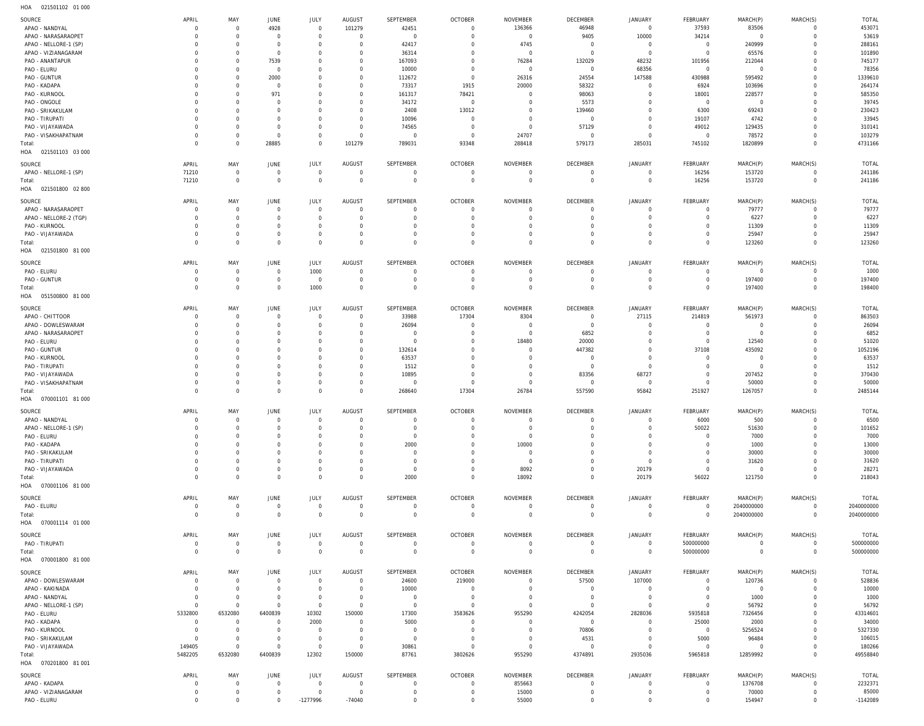021501102 01 000 HOA

| 1107<br>VAIJUITUA UTUUU |                |                |                     |                |                |                |                |                |                 |                |                |                |                |              |
|-------------------------|----------------|----------------|---------------------|----------------|----------------|----------------|----------------|----------------|-----------------|----------------|----------------|----------------|----------------|--------------|
| SOURCE                  | APRIL          | MAY            | JUNE                | JULY           | AUGUST         | SEPTEMBER      | <b>OCTOBER</b> | NOVEMBER       | <b>DECEMBER</b> | JANUARY        | FEBRUARY       | MARCH(P)       | MARCH(S)       | <b>TOTAL</b> |
| APAO - NANDYAL          | $\Omega$       | $\overline{0}$ | 4928                | $\overline{0}$ | 101279         | 42451          | $\overline{0}$ | 136366         | 46948           | $\mathbf{0}$   | 37593          | 83506          | $\overline{0}$ | 453071       |
|                         |                |                |                     |                |                |                |                |                |                 |                |                |                |                |              |
| APAO - NARASARAOPET     |                | $\mathbf 0$    | $\overline{0}$      | $\overline{0}$ | $\overline{0}$ | $\overline{0}$ | $\overline{0}$ | $\mathbf 0$    | 9405            | 10000          | 34214          | $\overline{0}$ | $\overline{0}$ | 53619        |
| APAO - NELLORE-1 (SP)   |                | $\Omega$       | $\mathbf 0$         | $\overline{0}$ | $\Omega$       | 42417          | $\overline{0}$ | 4745           | $\overline{0}$  | $\mathbf{0}$   | $\overline{0}$ | 240999         | $\overline{0}$ | 288161       |
| APAO - VIZIANAGARAM     |                | $\mathbf 0$    | $\overline{0}$      | $\overline{0}$ | $\Omega$       | 36314          | $\mathbf 0$    | $\overline{0}$ | $\overline{0}$  | $\mathbf{0}$   | $\overline{0}$ | 65576          | 0              | 101890       |
|                         |                | $\mathbf 0$    |                     | $\mathbf 0$    | $\Omega$       |                | $\Omega$       |                |                 |                |                |                |                | 745177       |
| PAO - ANANTAPUR         |                |                | 7539                |                |                | 167093         |                | 76284          | 132029          | 48232          | 101956         | 212044         | 0              |              |
| PAO - ELURU             |                | $\mathbf 0$    | $\overline{0}$      | $\mathbf 0$    | $\Omega$       | 10000          | $\overline{0}$ | $\overline{0}$ | $\overline{0}$  | 68356          | $\overline{0}$ | $\overline{0}$ | 0              | 78356        |
| PAO - GUNTUR            |                | $\mathbf 0$    | 2000                | $\mathbf 0$    | $\Omega$       | 112672         | $\overline{0}$ | 26316          | 24554           | 147588         | 430988         | 595492         | 0              | 1339610      |
| PAO - KADAPA            |                | $\Omega$       | $\overline{0}$      | $\mathbf 0$    | $\Omega$       | 73317          | 1915           | 20000          | 58322           | $\overline{0}$ | 6924           | 103696         | 0              | 264174       |
|                         |                |                |                     |                |                |                |                |                |                 |                |                |                |                |              |
| PAO - KURNOOL           |                | $\mathbf 0$    | 971                 | $\mathbf 0$    | $\Omega$       | 161317         | 78421          | $\mathbf 0$    | 98063           | $\mathbf{0}$   | 18001          | 228577         | 0              | 585350       |
| PAO - ONGOLE            |                | $\Omega$       | $\mathbf 0$         | $\mathbf 0$    | $\Omega$       | 34172          | $\overline{0}$ | $\mathbf 0$    | 5573            | $\mathbf 0$    | $\overline{0}$ | $\overline{0}$ | $\Omega$       | 39745        |
| PAO - SRIKAKULAM        |                | $\Omega$       | $\mathbf 0$         | $\mathbf 0$    | $\Omega$       | 2408           | 13012          | $\mathbf 0$    | 139460          | $\mathbf 0$    | 6300           | 69243          | 0              | 230423       |
|                         |                |                |                     |                |                |                |                |                |                 |                |                |                |                |              |
| PAO - TIRUPATI          |                | $\Omega$       | $\mathbf 0$         | $\mathbf 0$    | $\Omega$       | 10096          | $\overline{0}$ | $\mathbf 0$    | $\overline{0}$  | $\overline{0}$ | 19107          | 4742           | $^{\circ}$     | 33945        |
| PAO - VIJAYAWADA        |                | $\Omega$       | $\mathbf 0$         | $\overline{0}$ | $\Omega$       | 74565          | $\overline{0}$ | $\mathbf 0$    | 57129           | $\mathbf{0}$   | 49012          | 129435         | $\Omega$       | 310141       |
| PAO - VISAKHAPATNAM     |                | $\mathbf 0$    | $\overline{0}$      | $\mathbf{0}$   | $\overline{0}$ | $\overline{0}$ | $\overline{0}$ | 24707          | $\overline{0}$  | $\mathbf{0}$   | $\overline{0}$ | 78572          | $\mathbf 0$    | 103279       |
|                         | $\Omega$       | $\mathbf 0$    | 28885               | $\mathbf{0}$   |                |                |                |                | 579173          | 285031         |                |                | $\Omega$       |              |
| Total:                  |                |                |                     |                | 101279         | 789031         | 93348          | 288418         |                 |                | 745102         | 1820899        |                | 4731166      |
| 021501103 03 000<br>HOA |                |                |                     |                |                |                |                |                |                 |                |                |                |                |              |
|                         |                |                |                     |                |                |                |                |                |                 |                |                |                |                |              |
| SOURCE                  | APRIL          | MAY            | <b>JUNE</b>         | JULY           | AUGUST         | SEPTEMBER      | <b>OCTOBER</b> | NOVEMBER       | DECEMBER        | JANUARY        | FEBRUARY       | MARCH(P)       | MARCH(S)       | TOTAL        |
| APAO - NELLORE-1 (SP)   | 71210          | $\overline{0}$ | $\overline{0}$      | $\mathbf{0}$   | $\overline{0}$ | $\overline{0}$ | $\overline{0}$ | $\mathbf 0$    | $\overline{0}$  | $\mathbf 0$    | 16256          | 153720         | $\overline{0}$ | 241186       |
| Total:                  | 71210          | $\mathbf 0$    | $\mathbf 0$         | $\mathbf{0}$   | $\overline{0}$ | $\overline{0}$ | $\overline{0}$ | $\overline{0}$ | $\overline{0}$  | $\mathbf 0$    | 16256          | 153720         | $\overline{0}$ | 241186       |
|                         |                |                |                     |                |                |                |                |                |                 |                |                |                |                |              |
| 021501800 02 800<br>HOA |                |                |                     |                |                |                |                |                |                 |                |                |                |                |              |
|                         | APRIL          | MAY            | <b>JUNE</b>         |                |                | SEPTEMBER      |                |                | <b>DECEMBER</b> | JANUARY        | FEBRUARY       |                |                |              |
| SOURCE                  |                |                |                     | JULY           | AUGUST         |                | <b>OCTOBER</b> | NOVEMBER       |                 |                |                | MARCH(P)       | MARCH(S)       | TOTAL        |
| APAO - NARASARAOPET     | - 0            | $\overline{0}$ | $\mathbf 0$         | $\overline{0}$ | $\Omega$       | $\mathbf 0$    | $\overline{0}$ | $\mathbf 0$    | $\overline{0}$  | $\mathbf{0}$   | $\mathbf{0}$   | 79777          | $\overline{0}$ | 79777        |
| APAO - NELLORE-2 (TGP)  |                | $\overline{0}$ | $\mathbf 0$         | $\overline{0}$ | $\Omega$       | $\mathbf 0$    | $\mathbf 0$    | $\Omega$       | $\mathbf 0$     | $\overline{0}$ | $\overline{0}$ | 6227           | $\overline{0}$ | 6227         |
| PAO - KURNOOL           |                | $\Omega$       | $\mathbf 0$         | $\overline{0}$ | $\Omega$       | $\Omega$       | $\Omega$       | $\Omega$       | $\Omega$        | $\mathbf 0$    | $\overline{0}$ | 11309          | $\Omega$       | 11309        |
|                         |                |                |                     |                |                |                |                |                |                 |                |                |                |                |              |
| PAO - VIJAYAWADA        |                | $\mathbf 0$    | $\mathsf{O}\xspace$ | $\mathbf{0}$   | $\overline{0}$ | $\overline{0}$ | $\overline{0}$ | $\mathbf 0$    | $\mathbf 0$     | $\overline{0}$ | $\overline{0}$ | 25947          | $\overline{0}$ | 25947        |
| Total:                  | $\Omega$       | $\Omega$       | $\mathbf 0$         | $\mathbf 0$    | $\Omega$       | $\mathbf 0$    | $\overline{0}$ | $\Omega$       | $\mathbf 0$     | $\overline{0}$ | $\mathbf 0$    | 123260         | $\overline{0}$ | 123260       |
| 021501800 81 000<br>HOA |                |                |                     |                |                |                |                |                |                 |                |                |                |                |              |
|                         |                |                |                     |                |                |                |                |                |                 |                |                |                |                |              |
| SOURCE                  | APRIL          | MAY            | <b>JUNE</b>         | JULY           | AUGUST         | SEPTEMBER      | <b>OCTOBER</b> | NOVEMBER       | DECEMBER        | JANUARY        | FEBRUARY       | MARCH(P)       | MARCH(S)       | TOTAL        |
|                         |                |                |                     |                |                |                |                |                |                 |                |                |                |                |              |
| PAO - ELURU             | $\Omega$       | $\overline{0}$ | $\overline{0}$      | 1000           | $\overline{0}$ | $\overline{0}$ | $\overline{0}$ | $\mathbf 0$    | $\overline{0}$  | $\overline{0}$ | $\overline{0}$ | $\overline{0}$ | $\overline{0}$ | 1000         |
| PAO - GUNTUR            | - 0            | $\overline{0}$ | $\overline{0}$      | $\overline{0}$ | $\overline{0}$ | $\overline{0}$ | $\overline{0}$ | $\mathbf 0$    | $\overline{0}$  | $\mathbf 0$    | $\mathbf 0$    | 197400         | $\overline{0}$ | 197400       |
| Total:                  | $\Omega$       | $\mathbf 0$    | $\mathbf 0$         | 1000           | $\overline{0}$ | $\overline{0}$ | $\overline{0}$ | $\overline{0}$ | $\overline{0}$  | $\overline{0}$ | $\mathbf 0$    | 197400         | $\overline{0}$ | 198400       |
|                         |                |                |                     |                |                |                |                |                |                 |                |                |                |                |              |
| HOA  051500800  81 000  |                |                |                     |                |                |                |                |                |                 |                |                |                |                |              |
|                         | APRIL          |                | <b>JUNE</b>         |                | AUGUST         | SEPTEMBER      | <b>OCTOBER</b> |                | DECEMBER        |                | FEBRUARY       |                | MARCH(S)       |              |
| SOURCE                  |                | MAY            |                     | JULY           |                |                |                | NOVEMBER       |                 | JANUARY        |                | MARCH(P)       |                | TOTAL        |
| APAO - CHITTOOR         | - 0            | $\overline{0}$ | $\mathbf 0$         | $\overline{0}$ | $\mathbf{0}$   | 33988          | 17304          | 8304           | $\overline{0}$  | 27115          | 214819         | 561973         | $\overline{0}$ | 863503       |
| APAO - DOWLESWARAM      | - 0            | $\overline{0}$ | $\mathbf 0$         | $\overline{0}$ | $\Omega$       | 26094          | $\overline{0}$ | $\mathbf 0$    | $\overline{0}$  | $\mathbf{0}$   | $\overline{0}$ | $\overline{0}$ | $\overline{0}$ | 26094        |
| APAO - NARASARAOPET     |                | $\Omega$       | $\mathbf 0$         | $\mathbf{0}$   | $\Omega$       | $\overline{0}$ | $\overline{0}$ | $\overline{0}$ | 6852            | $\overline{0}$ | $\overline{0}$ | $\overline{0}$ | $^{\circ}$     | 6852         |
|                         |                |                |                     |                |                |                |                |                |                 |                |                |                |                |              |
| PAO - ELURU             |                | $\Omega$       | $\mathbf 0$         | $\overline{0}$ | $\Omega$       | $\overline{0}$ | $\overline{0}$ | 18480          | 20000           | $\overline{0}$ | $\overline{0}$ | 12540          | $^{\circ}$     | 51020        |
| PAO - GUNTUR            |                | $\Omega$       | $\mathbf 0$         | $\mathbf 0$    | $\Omega$       | 132614         | $\Omega$       | $\mathbf 0$    | 447382          | $\overline{0}$ | 37108          | 435092         | $^{\circ}$     | 1052196      |
| PAO - KURNOOL           |                | $\Omega$       | $\mathbf 0$         | $\mathbf 0$    | $\Omega$       | 63537          | $\Omega$       | $\mathbf 0$    | $\overline{0}$  | $\overline{0}$ | $\overline{0}$ | $\overline{0}$ | $\overline{0}$ | 63537        |
|                         |                |                |                     |                |                |                |                |                |                 |                |                |                |                |              |
| PAO - TIRUPATI          |                | $\Omega$       | $\mathbf 0$         | $\mathbf 0$    | $\Omega$       | 1512           | $\Omega$       | $\mathbf 0$    | $\overline{0}$  | $\overline{0}$ | $\overline{0}$ | $\overline{0}$ | $\Omega$       | 1512         |
| PAO - VIJAYAWADA        |                | $\Omega$       | $\mathbf 0$         | $\overline{0}$ | $\Omega$       | 10895          | $\Omega$       | $\mathbf 0$    | 83356           | 68727          | $\overline{0}$ | 207452         | $\Omega$       | 370430       |
| PAO - VISAKHAPATNAM     |                | $\mathbf 0$    | $\mathbf 0$         | $\mathbf{0}$   | $\overline{0}$ | $\overline{0}$ | $\overline{0}$ | $\mathbf 0$    | $\overline{0}$  | $\overline{0}$ | $\overline{0}$ | 50000          | $\mathbf 0$    | 50000        |
|                         |                | $\Omega$       |                     |                | $\Omega$       |                |                |                |                 |                |                |                |                |              |
| Total:                  |                |                | $\mathbf 0$         | $\mathbf 0$    |                | 268640         | 17304          | 26784          | 557590          | 95842          | 251927         | 1267057        | $\overline{0}$ | 2485144      |
| HOA  070001101  81 000  |                |                |                     |                |                |                |                |                |                 |                |                |                |                |              |
|                         |                |                |                     |                |                |                |                |                |                 |                |                |                |                |              |
| SOURCE                  | APRIL          | MAY            | <b>JUNE</b>         | <b>JULY</b>    | AUGUST         | SEPTEMBER      | <b>OCTOBER</b> | NOVEMBER       | DECEMBER        | JANUARY        | FEBRUARY       | MARCH(P)       | MARCH(S)       | TOTAL        |
| APAO - NANDYAL          |                | $\cap$         | $\cap$              | $\cap$         | $\cap$         | $\cap$         | $\cap$         | $\cap$         | $\cap$          | $\Omega$       | 6000           | 500            | $\cap$         | 6500         |
| APAO - NELLORE-1 (SP)   |                | $\mathbf 0$    | $\mathbf 0$         | $\mathbf 0$    | $\Omega$       | $\overline{0}$ | $\overline{0}$ | $\overline{0}$ | $\overline{0}$  | $\overline{0}$ | 50022          | 51630          | $\mathbf 0$    | 101652       |
|                         |                |                |                     |                |                |                |                |                |                 |                |                |                |                |              |
| PAO - ELURU             |                | $\mathbf 0$    | $\mathbf 0$         | $\overline{0}$ | $\Omega$       | $\overline{0}$ | $\overline{0}$ | $\overline{0}$ | $\mathbf 0$     | $\overline{0}$ | $\mathbf 0$    | 7000           | $\mathbf 0$    | 7000         |
| PAO - KADAPA            |                | $\Omega$       | $\mathbf 0$         | $\overline{0}$ | $\Omega$       | 2000           | $\mathbf 0$    | 10000          | $\Omega$        | $\mathbf{0}$   | $\overline{0}$ | 1000           | $\Omega$       | 13000        |
| PAO - SRIKAKULAM        |                | $\Omega$       | $\Omega$            | $\mathbf 0$    | $\Omega$       | $\overline{0}$ | $\mathbf 0$    | $\overline{0}$ | $\mathbf 0$     | $\mathbf 0$    | $\overline{0}$ | 30000          | $\Omega$       | 30000        |
| PAO - TIRUPATI          |                | $\Omega$       | $\mathbf 0$         | $\mathbf{0}$   | $\Omega$       | $\overline{0}$ | $\overline{0}$ | $\overline{0}$ | $\mathbf{0}$    | $\overline{0}$ | $\overline{0}$ | 31620          | 0              | 31620        |
|                         |                |                |                     |                |                |                |                |                |                 |                |                |                |                |              |
| PAO - VIJAYAWADA        |                | $\Omega$       | $\mathbf 0$         | $\mathbf{0}$   | $\Omega$       | $\overline{0}$ | $\overline{0}$ | 8092           | $\mathbf 0$     | 20179          | $\overline{0}$ | $\mathbf 0$    | 0              | 28271        |
| Total:                  |                | $\mathbf 0$    | $\mathbf 0$         | $\mathbf 0$    | $\Omega$       | 2000           | $\overline{0}$ | 18092          | $\overline{0}$  | 20179          | 56022          | 121750         | $\overline{0}$ | 218043       |
| HOA  070001106  81  000 |                |                |                     |                |                |                |                |                |                 |                |                |                |                |              |
|                         |                |                |                     |                |                |                |                |                |                 |                |                |                |                |              |
| SOURCE                  | APRIL          | MAY            | <b>JUNE</b>         | JULY           | AUGUST         | SEPTEMBER      | <b>OCTOBER</b> | NOVEMBER       | DECEMBER        | JANUARY        | FEBRUARY       | MARCH(P)       | MARCH(S)       | TOTAL        |
| PAO - ELURU             | $\Omega$       | $\overline{0}$ | $\overline{0}$      | $\mathbf 0$    | $\overline{0}$ | $\overline{0}$ | $\overline{0}$ | $\mathbf 0$    | $\overline{0}$  | $\overline{0}$ | $\overline{0}$ | 2040000000     | $\mathbf{0}$   | 2040000000   |
|                         |                |                |                     |                |                |                |                |                |                 |                |                |                |                |              |
| Total:                  | $\Omega$       | $\mathbf 0$    | $\overline{0}$      | $\mathbf{0}$   | $\overline{0}$ | $\overline{0}$ | $\overline{0}$ | $\overline{0}$ | $\overline{0}$  | $\mathbf{0}$   | $\mathbf 0$    | 2040000000     | $\mathbf{0}$   | 2040000000   |
| HOA  070001114  01  000 |                |                |                     |                |                |                |                |                |                 |                |                |                |                |              |
|                         |                |                |                     |                |                |                |                |                |                 |                |                |                |                |              |
| SOURCE                  | APRIL          | MAY            | <b>JUNE</b>         | <b>JULY</b>    | AUGUST         | SEPTEMBER      | <b>OCTOBER</b> | NOVEMBER       | DECEMBER        | JANUARY        | FEBRUARY       | MARCH(P)       | MARCH(S)       | TOTAL        |
| PAO - TIRUPATI          | $\mathbf{0}$   | $\mathbf 0$    | $\overline{0}$      | $\mathbf 0$    | $\overline{0}$ | $\overline{0}$ | $\overline{0}$ | $\mathbf 0$    | $\overline{0}$  | $\overline{0}$ | 500000000      | $\overline{0}$ | $\overline{0}$ | 500000000    |
| Total:                  |                |                | $\mathbf 0$         | $\mathbf{0}$   | $\overline{0}$ | $\overline{0}$ | $\overline{0}$ | $\overline{0}$ | $\overline{0}$  | $\mathbf 0$    | 500000000      | $\overline{0}$ | $\overline{0}$ | 500000000    |
|                         |                |                |                     |                |                |                |                |                |                 |                |                |                |                |              |
|                         | $\Omega$       | $\mathbf 0$    |                     |                |                |                |                |                |                 |                |                |                |                |              |
| HOA  070001800  81 000  |                |                |                     |                |                |                |                |                |                 |                |                |                |                |              |
|                         |                |                |                     |                |                |                |                |                |                 |                |                |                |                |              |
| SOURCE                  | APRIL          | MAY            | <b>JUNE</b>         | JULY           | AUGUST         | SEPTEMBER      | <b>OCTOBER</b> | NOVEMBER       | DECEMBER        | JANUARY        | FEBRUARY       | MARCH(P)       | MARCH(S)       | TOTAL        |
| APAO - DOWLESWARAM      | - 0            | $\overline{0}$ | $\mathbf 0$         | $\overline{0}$ | $\overline{0}$ | 24600          | 219000         | $\mathbf 0$    | 57500           | 107000         | $\overline{0}$ | 120736         | $\overline{0}$ | 528836       |
|                         | - 0            |                |                     |                | $\Omega$       |                |                |                |                 |                |                |                |                |              |
| APAO - KAKINADA         |                | $\overline{0}$ | $\mathbf 0$         | $\overline{0}$ |                | 10000          | $\overline{0}$ | $\mathbf 0$    | $\overline{0}$  | $\overline{0}$ | $\overline{0}$ | $\mathbf 0$    | $\overline{0}$ | 10000        |
| APAO - NANDYAL          | - 0            | $\overline{0}$ | $\overline{0}$      | $\overline{0}$ | $\overline{0}$ | $\overline{0}$ | $\overline{0}$ | $\mathbf 0$    | $\overline{0}$  | $\overline{0}$ | $\overline{0}$ | 1000           | 0              | 1000         |
| APAO - NELLORE-1 (SP)   | $\Omega$       | $\overline{0}$ | $\overline{0}$      | $\mathbf{0}$   | $\overline{0}$ | $\overline{0}$ | $\overline{0}$ | $\mathbf 0$    | $\overline{0}$  | $\mathbf{0}$   | $\mathbf 0$    | 56792          | 0              | 56792        |
|                         |                |                |                     |                |                |                |                |                |                 |                |                |                | 0              |              |
| PAO - ELURU             | 5332800        | 6532080        | 6400839             | 10302          | 150000         | 17300          | 3583626        | 955290         | 4242054         | 2828036        | 5935818        | 7326456        |                | 43314601     |
| PAO - KADAPA            | $\Omega$       | $\overline{0}$ | $\mathbf 0$         | 2000           | $\mathbf{0}$   | 5000           | $\overline{0}$ | $\mathbf 0$    | $\overline{0}$  | $\mathbf{0}$   | 25000          | 2000           | $\Omega$       | 34000        |
| PAO - KURNOOL           | $\Omega$       | $\mathbf 0$    | $\mathbf 0$         | $\overline{0}$ | $\overline{0}$ | $\overline{0}$ | $\overline{0}$ | $\mathbf 0$    | 70806           | $\mathbf 0$    | $\overline{0}$ | 5256524        | $^{\circ}$     | 5327330      |
|                         | $\Omega$       | $\overline{0}$ | $\mathbf 0$         | $\mathbf 0$    | $\Omega$       | $\overline{0}$ | $\overline{0}$ | $\mathbf 0$    |                 | $\overline{0}$ |                |                | 0              |              |
| PAO - SRIKAKULAM        |                |                |                     |                |                |                |                |                | 4531            |                | 5000           | 96484          |                | 106015       |
| PAO - VIJAYAWADA        | 149405         | $\overline{0}$ | $\overline{0}$      | $\mathbf{0}$   | $\overline{0}$ | 30861          | $\overline{0}$ | $\overline{0}$ | $\overline{0}$  | $\mathbf{0}$   | $\overline{0}$ | $\overline{0}$ | 0              | 180266       |
| Total:                  | 5482205        | 6532080        | 6400839             | 12302          | 150000         | 87761          | 3802626        | 955290         | 4374891         | 2935036        | 5965818        | 12859992       | $\overline{0}$ | 49558840     |
| HOA  070201800  81  001 |                |                |                     |                |                |                |                |                |                 |                |                |                |                |              |
|                         |                |                |                     |                |                |                |                |                |                 |                |                |                |                |              |
| SOURCE                  | APRIL          | MAY            | JUNE                | JULY           | AUGUST         | SEPTEMBER      | <b>OCTOBER</b> | NOVEMBER       | DECEMBER        | JANUARY        | FEBRUARY       | MARCH(P)       |                | TOTAL        |
|                         |                |                |                     |                |                |                |                |                |                 |                |                |                | MARCH(S)       |              |
| APAO - KADAPA           | $\Omega$       | $\overline{0}$ | $\overline{0}$      | $\mathbf{0}$   | $\overline{0}$ | $\overline{0}$ | $\overline{0}$ | 855663         | $\overline{0}$  | $\mathbf 0$    | $\overline{0}$ | 1376708        | $\overline{0}$ | 2232371      |
| APAO - VIZIANAGARAM     | - 0            | $\overline{0}$ | $\overline{0}$      | $\mathbf{0}$   | $\overline{0}$ | $\overline{0}$ | $\overline{0}$ | 15000          | $\overline{0}$  | $\mathbf 0$    | $\mathbf 0$    | 70000          | 0              | 85000        |
| PAO - ELURU             | $\overline{0}$ | $\mathbf 0$    | $\mathbf 0$         | $-1277996$     | $-74040$       | $\overline{0}$ | $\overline{0}$ | 55000          | $\overline{0}$  | $\mathbf 0$    | $\mathbf{0}$   | 154947         | $\overline{0}$ | $-1142089$   |